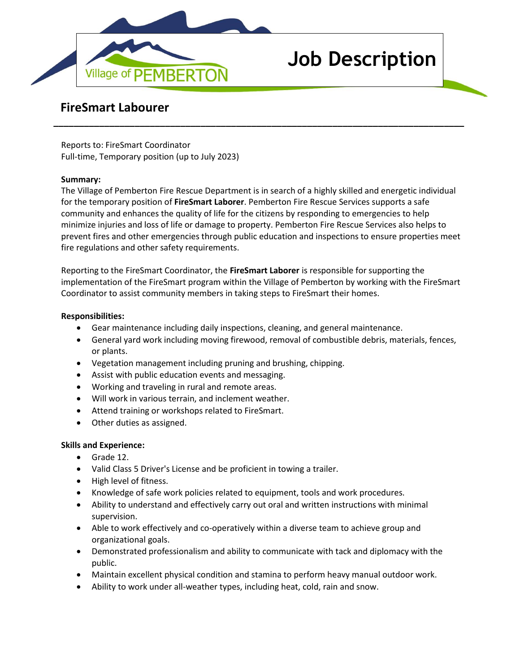

# **Job Description**

# **FireSmart Labourer**

Reports to: FireSmart Coordinator Full-time, Temporary position (up to July 2023)

### **Summary:**

The Village of Pemberton Fire Rescue Department is in search of a highly skilled and energetic individual for the temporary position of **FireSmart Laborer**. Pemberton Fire Rescue Services supports a safe community and enhances the quality of life for the citizens by responding to emergencies to help minimize injuries and loss of life or damage to property. Pemberton Fire Rescue Services also helps to prevent fires and other emergencies through public education and inspections to ensure properties meet fire regulations and other safety requirements.

**\_\_\_\_\_\_\_\_\_\_\_\_\_\_\_\_\_\_\_\_\_\_\_\_\_\_\_\_\_\_\_\_\_\_\_\_\_\_\_\_\_\_\_\_\_\_\_\_\_\_\_\_\_\_\_\_\_\_\_\_\_\_\_\_\_\_\_\_\_\_\_\_\_\_\_\_\_\_\_\_\_**

Reporting to the FireSmart Coordinator, the **FireSmart Laborer** is responsible for supporting the implementation of the FireSmart program within the Village of Pemberton by working with the FireSmart Coordinator to assist community members in taking steps to FireSmart their homes.

#### **Responsibilities:**

- Gear maintenance including daily inspections, cleaning, and general maintenance.
- General yard work including moving firewood, removal of combustible debris, materials, fences, or plants.
- Vegetation management including pruning and brushing, chipping.
- Assist with public education events and messaging.
- Working and traveling in rural and remote areas.
- Will work in various terrain, and inclement weather.
- Attend training or workshops related to FireSmart.
- Other duties as assigned.

#### **Skills and Experience:**

- Grade 12.
- Valid Class 5 Driver's License and be proficient in towing a trailer.
- High level of fitness.
- Knowledge of safe work policies related to equipment, tools and work procedures.
- Ability to understand and effectively carry out oral and written instructions with minimal supervision.
- Able to work effectively and co-operatively within a diverse team to achieve group and organizational goals.
- Demonstrated professionalism and ability to communicate with tack and diplomacy with the public.
- Maintain excellent physical condition and stamina to perform heavy manual outdoor work.
- Ability to work under all-weather types, including heat, cold, rain and snow.